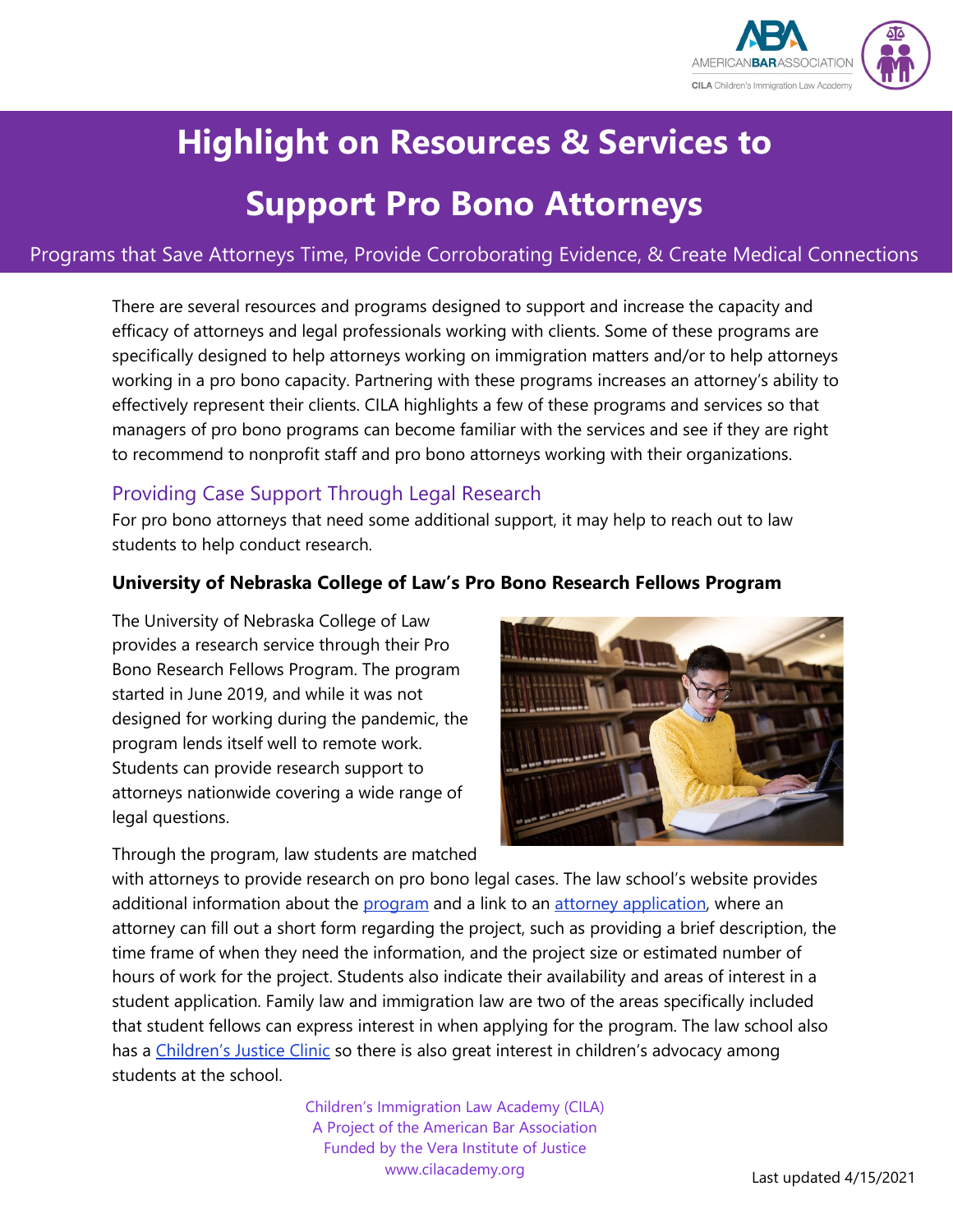

# **Highlight on Resources & Services to**

## **Support Pro Bono Attorneys**

#### Programs that Save Attorneys Time, Provide Corroborating Evidence, & Create Medical Connections

There are several resources and programs designed to support and increase the capacity and efficacy of attorneys and legal professionals working with clients. Some of these programs are specifically designed to help attorneys working on immigration matters and/or to help attorneys working in a pro bono capacity. Partnering with these programs increases an attorney's ability to effectively represent their clients. CILA highlights a few of these programs and services so that managers of pro bono programs can become familiar with the services and see if they are right to recommend to nonprofit staff and pro bono attorneys working with their organizations.

## Providing Case Support Through Legal Research

For pro bono attorneys that need some additional support, it may help to reach out to law students to help conduct research.

#### **University of Nebraska College of Law's Pro Bono Research Fellows Program**

The University of Nebraska College of Law provides a research service through their Pro Bono Research Fellows Program. The program started in June 2019, and while it was not designed for working during the pandemic, the program lends itself well to remote work. Students can provide research support to attorneys nationwide covering a wide range of legal questions.

Through the program, law students are matched



with attorneys to provide research on pro bono legal cases. The law school's website provides additional information about the [program](https://law.unl.edu/ProBonoResearch/) and a link to an [attorney application,](https://law.unl.edu/ProBonoResearchAttorneyApplication/) where an attorney can fill out a short form regarding the project, such as providing a brief description, the time frame of when they need the information, and the project size or estimated number of hours of work for the project. Students also indicate their availability and areas of interest in a student application. Family law and immigration law are two of the areas specifically included that student fellows can express interest in when applying for the program. The law school also has a [Children's Justice Clinic](https://law.unl.edu/childrens-justice-clinic/) so there is also great interest in children's advocacy among students at the school.

> Children's Immigration Law Academy (CILA) A Project of the American Bar Association Funded by the Vera Institute of Justice www.cilacademy.org **Last updated 4/15/2021**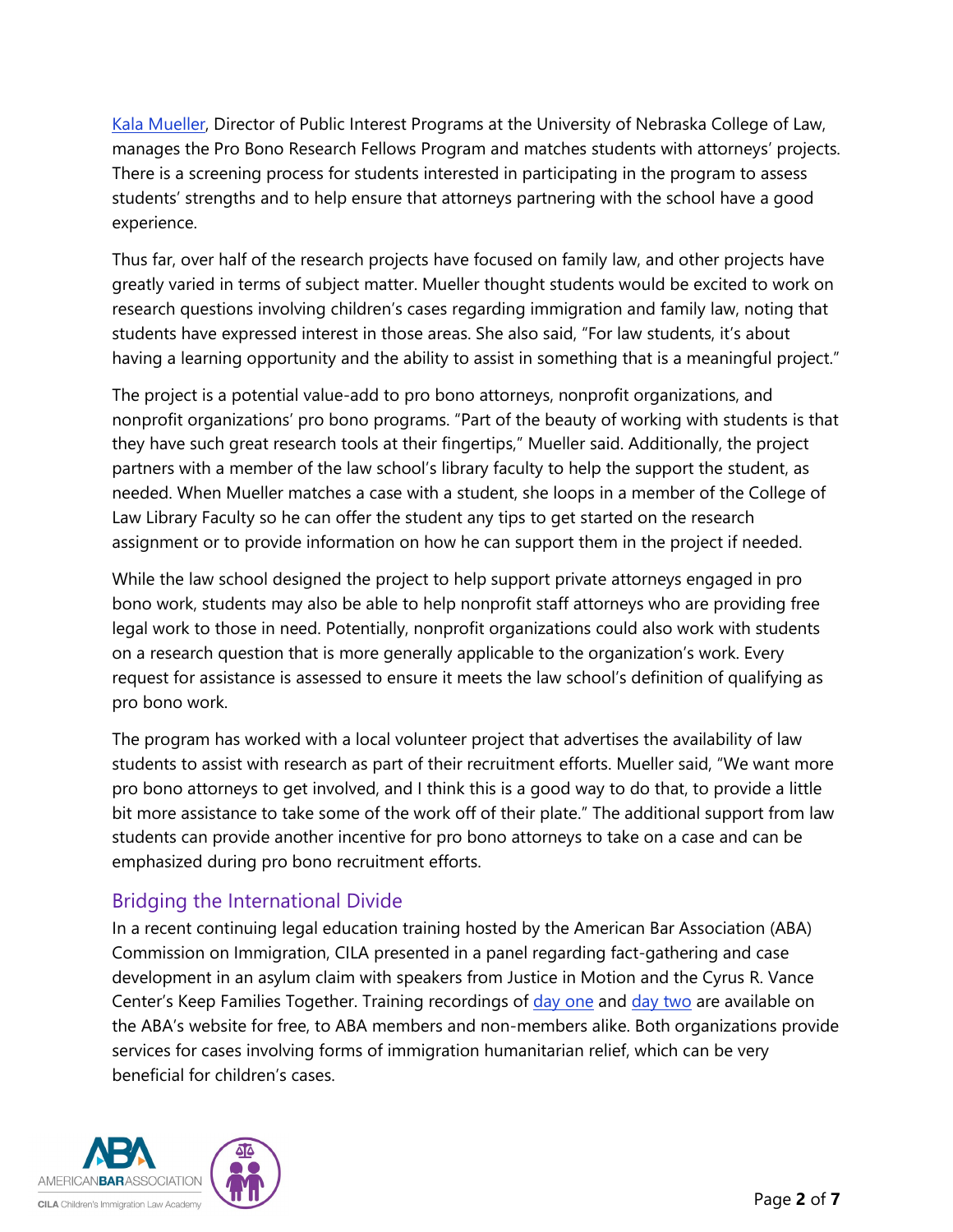[Kala Mueller,](https://law.unl.edu/kala-mueller/) Director of Public Interest Programs at the University of Nebraska College of Law, manages the Pro Bono Research Fellows Program and matches students with attorneys' projects. There is a screening process for students interested in participating in the program to assess students' strengths and to help ensure that attorneys partnering with the school have a good experience.

Thus far, over half of the research projects have focused on family law, and other projects have greatly varied in terms of subject matter. Mueller thought students would be excited to work on research questions involving children's cases regarding immigration and family law, noting that students have expressed interest in those areas. She also said, "For law students, it's about having a learning opportunity and the ability to assist in something that is a meaningful project."

The project is a potential value-add to pro bono attorneys, nonprofit organizations, and nonprofit organizations' pro bono programs. "Part of the beauty of working with students is that they have such great research tools at their fingertips," Mueller said. Additionally, the project partners with a member of the law school's library faculty to help the support the student, as needed. When Mueller matches a case with a student, she loops in a member of the College of Law Library Faculty so he can offer the student any tips to get started on the research assignment or to provide information on how he can support them in the project if needed.

While the law school designed the project to help support private attorneys engaged in pro bono work, students may also be able to help nonprofit staff attorneys who are providing free legal work to those in need. Potentially, nonprofit organizations could also work with students on a research question that is more generally applicable to the organization's work. Every request for assistance is assessed to ensure it meets the law school's definition of qualifying as pro bono work.

The program has worked with a local volunteer project that advertises the availability of law students to assist with research as part of their recruitment efforts. Mueller said, "We want more pro bono attorneys to get involved, and I think this is a good way to do that, to provide a little bit more assistance to take some of the work off of their plate." The additional support from law students can provide another incentive for pro bono attorneys to take on a case and can be emphasized during pro bono recruitment efforts.

## Bridging the International Divide

In a recent continuing legal education training hosted by the American Bar Association (ABA) Commission on Immigration, CILA presented in a panel regarding fact-gathering and case development in an asylum claim with speakers from Justice in Motion and the Cyrus R. Vance Center's Keep Families Together. Training recordings of [day one](https://www.americanbar.org/events-cle/ecd/ondemand/408987443/) and [day two](https://www.americanbar.org/events-cle/ecd/ondemand/408969136/) are available on the ABA's website for free, to ABA members and non-members alike. Both organizations provide services for cases involving forms of immigration humanitarian relief, which can be very beneficial for children's cases.

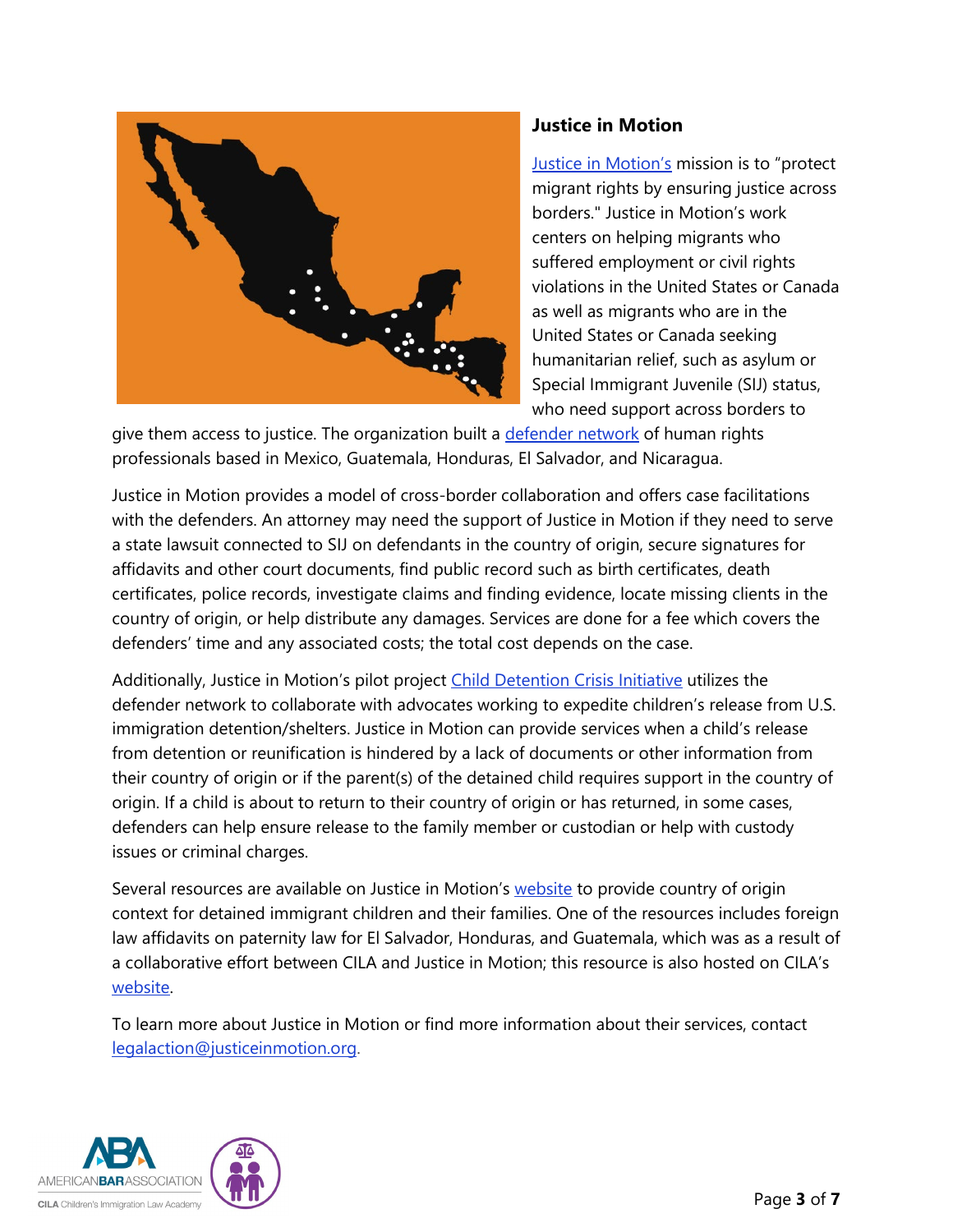

#### **Justice in Motion**

[Justice in Motion's](https://www.justiceinmotion.org/) mission is to "protect migrant rights by ensuring justice across borders." Justice in Motion's work centers on helping migrants who suffered employment or civil rights violations in the United States or Canada as well as migrants who are in the United States or Canada seeking humanitarian relief, such as asylum or Special Immigrant Juvenile (SIJ) status, who need support across borders to

give them access to justice. The organization built a [defender](https://www.justiceinmotion.org/defender-network) network of human rights professionals based in Mexico, Guatemala, Honduras, El Salvador, and Nicaragua.

Justice in Motion provides a model of cross-border collaboration and offers case facilitations with the defenders. An attorney may need the support of Justice in Motion if they need to serve a state lawsuit connected to SIJ on defendants in the country of origin, secure signatures for affidavits and other court documents, find public record such as birth certificates, death certificates, police records, investigate claims and finding evidence, locate missing clients in the country of origin, or help distribute any damages. Services are done for a fee which covers the defenders' time and any associated costs; the total cost depends on the case.

Additionally, Justice in Motion's pilot project [Child Detention Crisis Initiative](https://www.justiceinmotion.org/child-detention-crisis) utilizes the defender network to collaborate with advocates working to expedite children's release from U.S. immigration detention/shelters. Justice in Motion can provide services when a child's release from detention or reunification is hindered by a lack of documents or other information from their country of origin or if the parent(s) of the detained child requires support in the country of origin. If a child is about to return to their country of origin or has returned, in some cases, defenders can help ensure release to the family member or custodian or help with custody issues or criminal charges.

Several resources are available on Justice in Motion's [website](https://www.justiceinmotion.org/child-detention-crisis) to provide country of origin context for detained immigrant children and their families. One of the resources includes foreign law affidavits on paternity law for El Salvador, Honduras, and Guatemala, which was as a result of a collaborative effort between CILA and Justice in Motion; this resource is also hosted on CILA's [website.](https://cilacademy.org/affidavits-on-paternity-law/)

To learn more about Justice in Motion or find more information about their services, contact [legalaction@justiceinmotion.org.](mailto:legalaction@justiceinmotion.org)

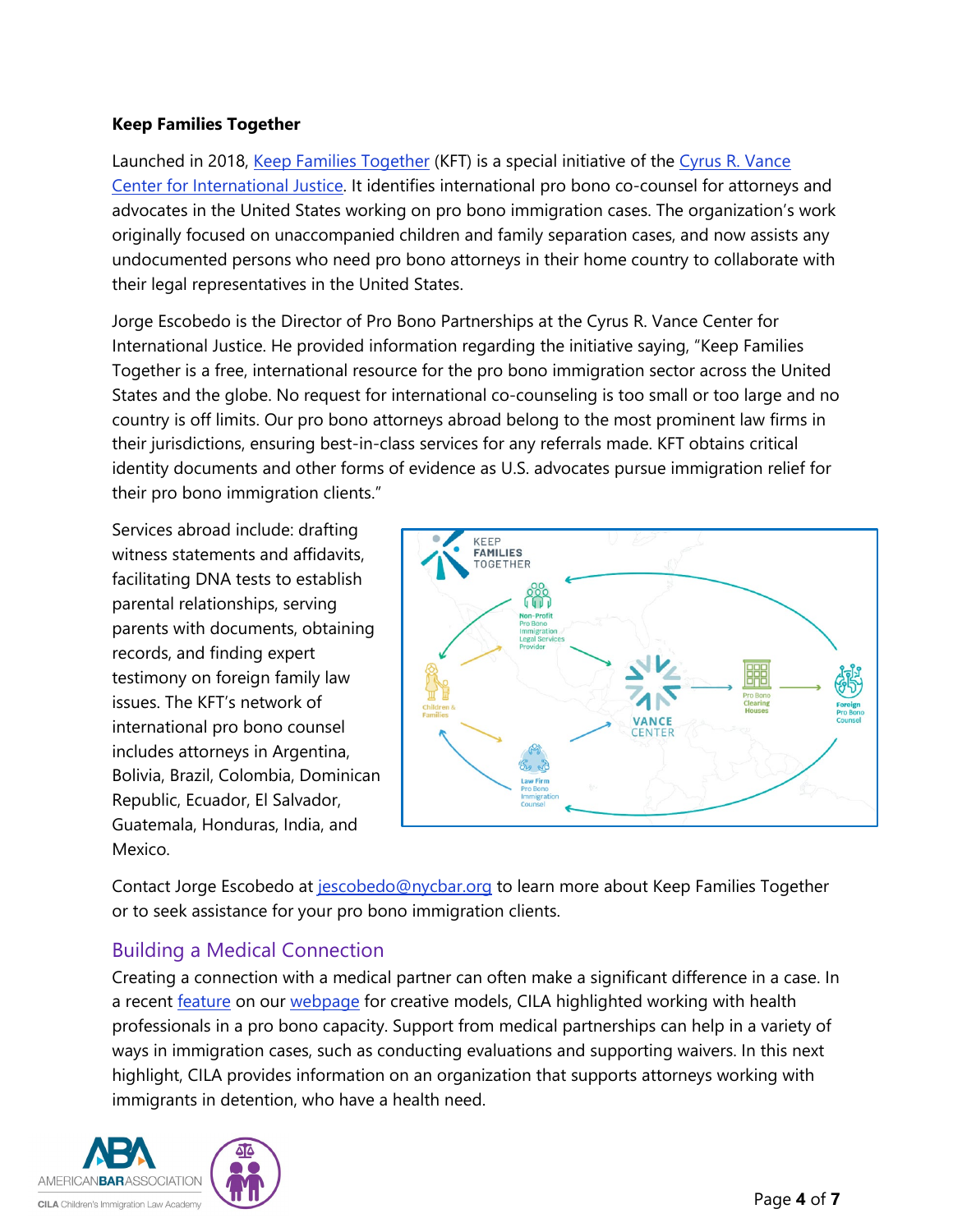#### **Keep Families Together**

Launched in 2018, [Keep Families Together](https://www.vancecenter.org/keep-families-together/) (KFT) is a special initiative of the Cyrus R. Vance [Center for International Justice.](https://www.vancecenter.org/) It identifies international pro bono co-counsel for attorneys and advocates in the United States working on pro bono immigration cases. The organization's work originally focused on unaccompanied children and family separation cases, and now assists any undocumented persons who need pro bono attorneys in their home country to collaborate with their legal representatives in the United States.

Jorge Escobedo is the Director of Pro Bono Partnerships at the Cyrus R. Vance Center for International Justice. He provided information regarding the initiative saying, "Keep Families Together is a free, international resource for the pro bono immigration sector across the United States and the globe. No request for international co-counseling is too small or too large and no country is off limits. Our pro bono attorneys abroad belong to the most prominent law firms in their jurisdictions, ensuring best-in-class services for any referrals made. KFT obtains critical identity documents and other forms of evidence as U.S. advocates pursue immigration relief for their pro bono immigration clients."

Services abroad include: drafting witness statements and affidavits, facilitating DNA tests to establish parental relationships, serving parents with documents, obtaining records, and finding expert testimony on foreign family law issues. The KFT's network of international pro bono counsel includes attorneys in Argentina, Bolivia, Brazil, Colombia, Dominican Republic, Ecuador, El Salvador, Guatemala, Honduras, India, and Mexico.



Contact Jorge Escobedo at [jescobedo@nycbar.org](mailto:jescobedo@nycbar.org) to learn more about Keep Families Together or to seek assistance for your pro bono immigration clients.

## Building a Medical Connection

Creating a connection with a medical partner can often make a significant difference in a case. In a recent [feature](https://cilacademy.org/wp-content/uploads/2020/12/2020.12.29-CILA-Resource-Working-With-Other-Professionals-in-a-Pro-Bono-Capacity.pdf) on our [webpage](https://cilacademy.org/pro-bono/creative-models/) for creative models, CILA highlighted working with health professionals in a pro bono capacity. Support from medical partnerships can help in a variety of ways in immigration cases, such as conducting evaluations and supporting waivers. In this next highlight, CILA provides information on an organization that supports attorneys working with immigrants in detention, who have a health need.

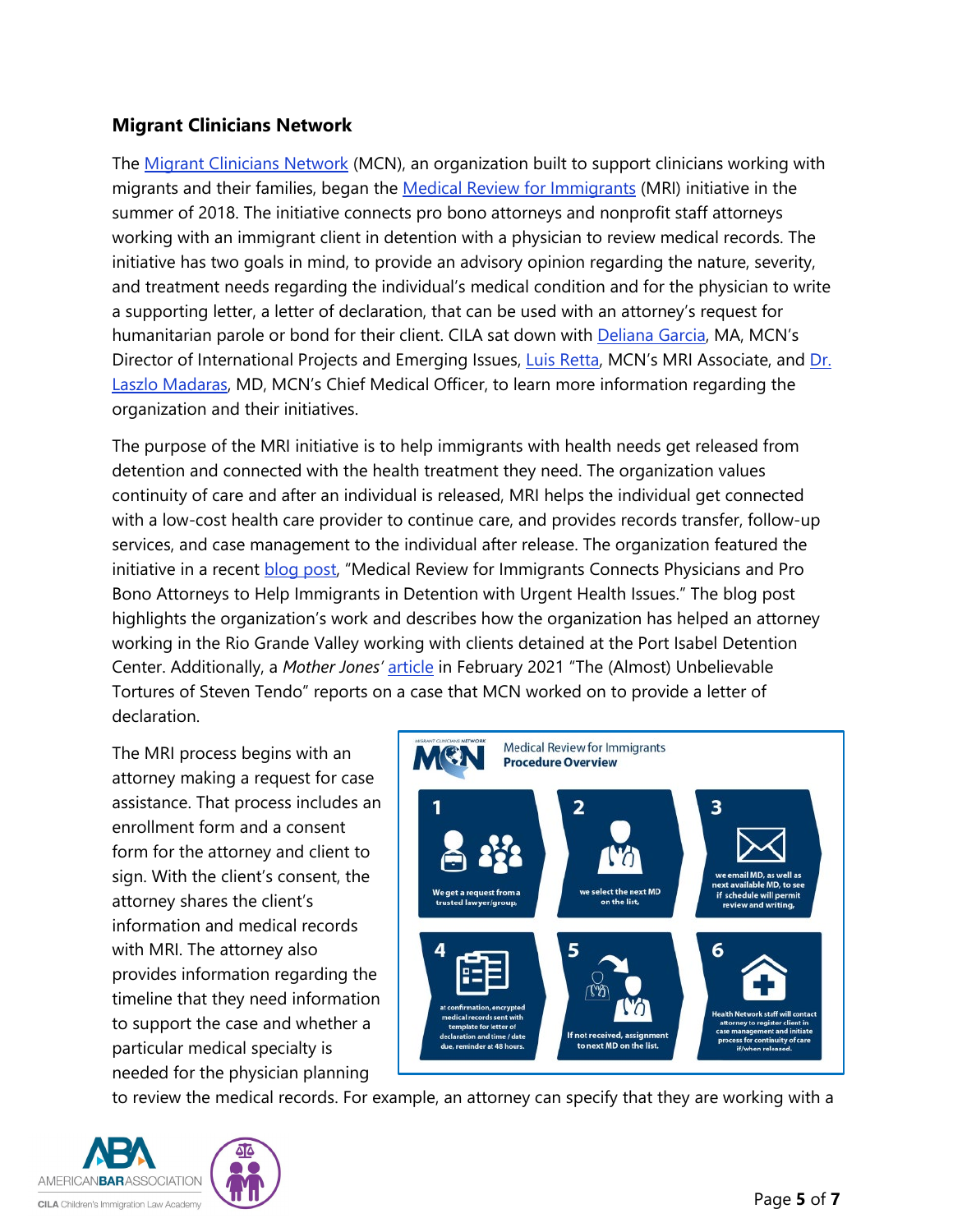#### **Migrant Clinicians Network**

The [Migrant Clinicians Network](https://www.migrantclinician.org/about.html) (MCN), an organization built to support clinicians working with migrants and their families, began the [Medical Review for Immigrants](https://www.migrantclinician.org/services/MRI) (MRI) initiative in the summer of 2018. The initiative connects pro bono attorneys and nonprofit staff attorneys working with an immigrant client in detention with a physician to review medical records. The initiative has two goals in mind, to provide an advisory opinion regarding the nature, severity, and treatment needs regarding the individual's medical condition and for the physician to write a supporting letter, a letter of declaration, that can be used with an attorney's request for humanitarian parole or bond for their client. CILA sat down with [Deliana Garcia,](https://www.migrantclinician.org/users/deliana-garcia) MA, MCN's Director of International Projects and Emerging Issues, [Luis Retta,](https://www.migrantclinician.org/users/luis-retta) MCN's MRI Associate, and [Dr.](https://www.migrantclinician.org/users/laszlo-madaras)  [Laszlo Madaras,](https://www.migrantclinician.org/users/laszlo-madaras) MD, MCN's Chief Medical Officer, to learn more information regarding the organization and their initiatives.

The purpose of the MRI initiative is to help immigrants with health needs get released from detention and connected with the health treatment they need. The organization values continuity of care and after an individual is released, MRI helps the individual get connected with a low-cost health care provider to continue care, and provides records transfer, follow-up services, and case management to the individual after release. The organization featured the initiative in a recent [blog post,](https://www.migrantclinician.org/blog/2021/feb/medical-review-immigrants-connects-physicians-and-pro-bono-attorneys-help-immigrants-d) "Medical Review for Immigrants Connects Physicians and Pro Bono Attorneys to Help Immigrants in Detention with Urgent Health Issues." The blog post highlights the organization's work and describes how the organization has helped an attorney working in the Rio Grande Valley working with clients detained at the Port Isabel Detention Center. Additionally, a *Mother Jones'* [article](https://www.motherjones.com/politics/2021/02/the-almost-unbelievable-tortures-of-steven-tendo/) in February 2021 "The (Almost) Unbelievable Tortures of Steven Tendo" reports on a case that MCN worked on to provide a letter of declaration.

The MRI process begins with an attorney making a request for case assistance. That process includes an enrollment form and a consent form for the attorney and client to sign. With the client's consent, the attorney shares the client's information and medical records with MRI. The attorney also provides information regarding the timeline that they need information to support the case and whether a particular medical specialty is needed for the physician planning



to review the medical records. For example, an attorney can specify that they are working with a

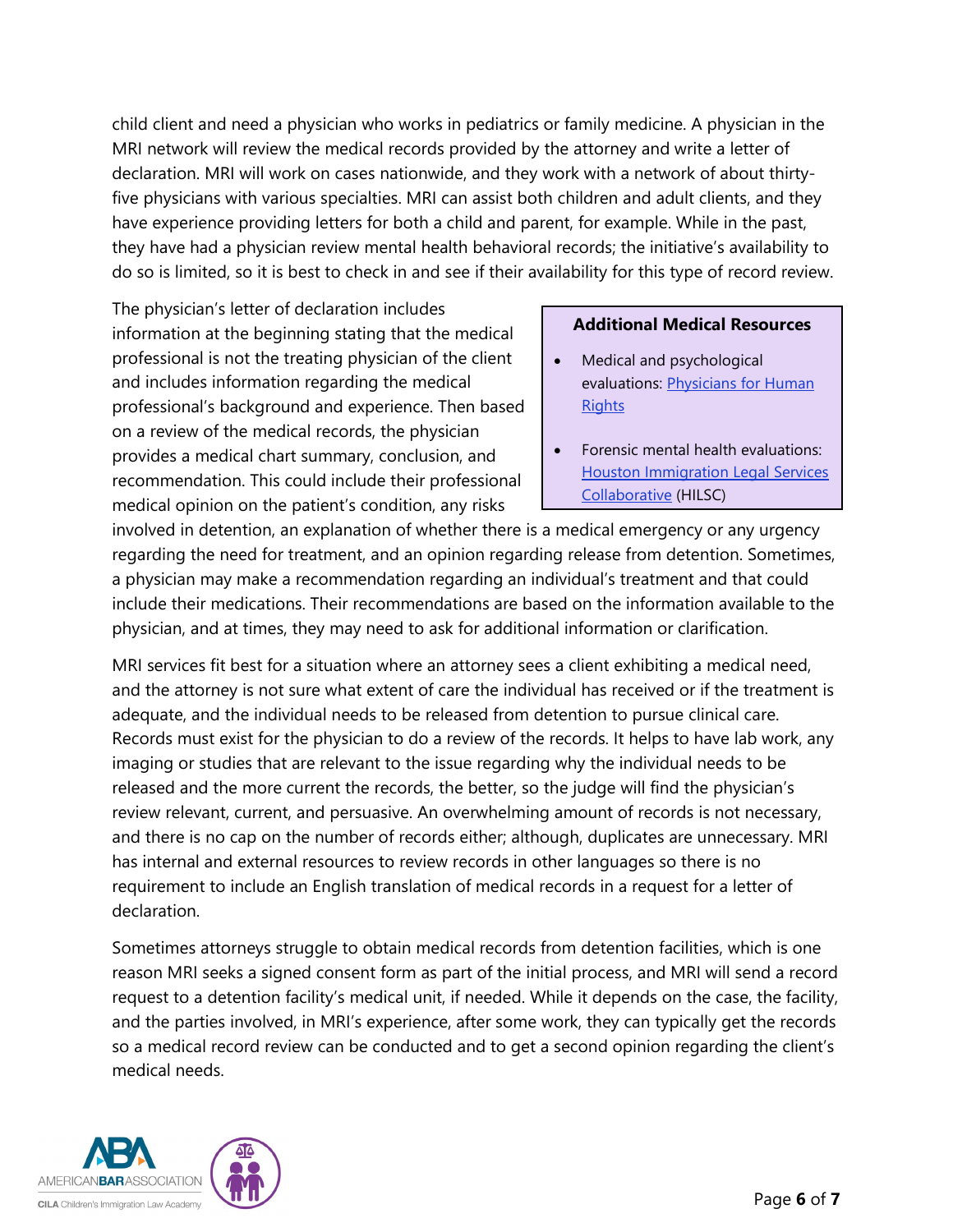child client and need a physician who works in pediatrics or family medicine. A physician in the MRI network will review the medical records provided by the attorney and write a letter of declaration. MRI will work on cases nationwide, and they work with a network of about thirtyfive physicians with various specialties. MRI can assist both children and adult clients, and they have experience providing letters for both a child and parent, for example. While in the past, they have had a physician review mental health behavioral records; the initiative's availability to do so is limited, so it is best to check in and see if their availability for this type of record review.

The physician's letter of declaration includes information at the beginning stating that the medical professional is not the treating physician of the client and includes information regarding the medical professional's background and experience. Then based on a review of the medical records, the physician provides a medical chart summary, conclusion, and recommendation. This could include their professional medical opinion on the patient's condition, any risks

#### **Additional Medical Resources**

- Medical and psychological evaluations: Physicians for Human **[Rights](https://phr.org/get-involved/participate/request-a-forensic-evaluation/)**
- Forensic mental health evaluations: [Houston Immigration Legal Services](https://www.houstonimmigration.org/)  [Collaborative](https://www.houstonimmigration.org/) (HILSC)

involved in detention, an explanation of whether there is a medical emergency or any urgency regarding the need for treatment, and an opinion regarding release from detention. Sometimes, a physician may make a recommendation regarding an individual's treatment and that could include their medications. Their recommendations are based on the information available to the physician, and at times, they may need to ask for additional information or clarification.

MRI services fit best for a situation where an attorney sees a client exhibiting a medical need, and the attorney is not sure what extent of care the individual has received or if the treatment is adequate, and the individual needs to be released from detention to pursue clinical care. Records must exist for the physician to do a review of the records. It helps to have lab work, any imaging or studies that are relevant to the issue regarding why the individual needs to be released and the more current the records, the better, so the judge will find the physician's review relevant, current, and persuasive. An overwhelming amount of records is not necessary, and there is no cap on the number of records either; although, duplicates are unnecessary. MRI has internal and external resources to review records in other languages so there is no requirement to include an English translation of medical records in a request for a letter of declaration.

Sometimes attorneys struggle to obtain medical records from detention facilities, which is one reason MRI seeks a signed consent form as part of the initial process, and MRI will send a record request to a detention facility's medical unit, if needed. While it depends on the case, the facility, and the parties involved, in MRI's experience, after some work, they can typically get the records so a medical record review can be conducted and to get a second opinion regarding the client's medical needs.